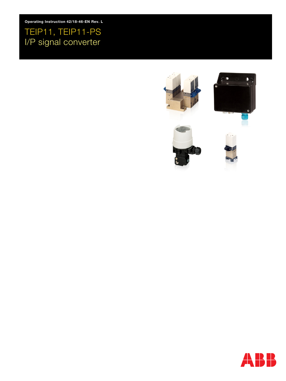Operating Instruction 42/18-46-EN Rev. L

# TEIP11, TEIP11-PS I/P signal converter



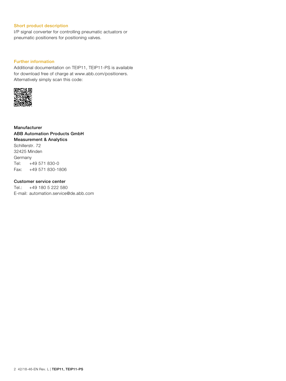# Short product description

I/P signal converter for controlling pneumatic actuators or pneumatic positioners for positioning valves.

# Further information

Additional documentation on TEIP11, TEIP11-PS is available for download free of charge at www.abb.com/positioners. Alternatively simply scan this code:



Manufacturer ABB Automation Products GmbH Measurement & Analytics Schillerstr. 72 32425 Minden Germany Tel: +49 571 830-0 Fax: +49 571 830-1806

### Customer service center

Tel.: +49 180 5 222 580 E-mail: automation.service@de.abb.com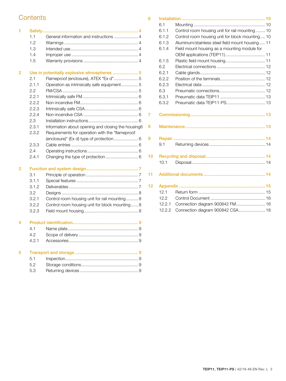# **Contents**

| 1      | 1.1<br>1.2<br>1.3<br>1.4<br>1.5                                                                           |                                                                                                                                                                                                                                                                                                                                |
|--------|-----------------------------------------------------------------------------------------------------------|--------------------------------------------------------------------------------------------------------------------------------------------------------------------------------------------------------------------------------------------------------------------------------------------------------------------------------|
| 2      | 2.1<br>2.1.1<br>2.2<br>2.2.1<br>2.2.2<br>2.2.3<br>2.2.4<br>2.3<br>2.3.1<br>2.3.2<br>2.3.3<br>2.4<br>2.4.1 | Use in potentially explosive atmospheres  5<br>Flameproof (enclosure), ATEX "Ex d" 5<br>Operation as intrinsically safe equipment 5<br>Information about opening and closing the housing6<br>Requirements for operation with the "flameproof<br>(enclosure)" (Ex d) type of protection  6<br>Changing the type of protection 6 |
| 3<br>4 | 3.1<br>3.1.1<br>3.1.2<br>3.2<br>3.2.1<br>3.2.2<br>3.2.3                                                   | Control room housing unit for rail mounting 8<br>Control room housing unit for block mounting 8                                                                                                                                                                                                                                |
|        | 4.1<br>4.2<br>4.2.1                                                                                       |                                                                                                                                                                                                                                                                                                                                |
| 5      | 5.1<br>5.2<br>5.3                                                                                         |                                                                                                                                                                                                                                                                                                                                |

| 6  |                |                                                 |
|----|----------------|-------------------------------------------------|
|    | 6.1            |                                                 |
|    | 6.1.1          | Control room housing unit for rail mounting 10  |
|    | 6.1.2          | Control room housing unit for block mounting 10 |
|    | 6.1.3          | Aluminum/stainless steel field mount housing 11 |
|    | 6.1.4          | Field mount housing as a mounting module for    |
|    |                |                                                 |
|    | 6.1.5          |                                                 |
|    | 6.2            |                                                 |
|    | 6.2.1          |                                                 |
|    | 6.2.2          |                                                 |
|    | 6.2.3          |                                                 |
|    | 6.3            |                                                 |
|    | 6.3.1          |                                                 |
|    | 6.3.2          |                                                 |
|    |                |                                                 |
| 7  |                |                                                 |
|    |                |                                                 |
| 8  |                |                                                 |
|    |                |                                                 |
| 9  | <b>Repair </b> |                                                 |
|    | 9.1            |                                                 |
| 10 |                |                                                 |
|    | 10.1           |                                                 |
|    |                |                                                 |
| 11 |                |                                                 |
|    |                |                                                 |
| 12 |                |                                                 |
|    | 12.1           |                                                 |
|    | 12.2           |                                                 |
|    | 12.2.1         | Connection diagram 900842 FM 16                 |
|    | 12.2.2         | Connection diagram 900842 CSA 18                |
|    |                |                                                 |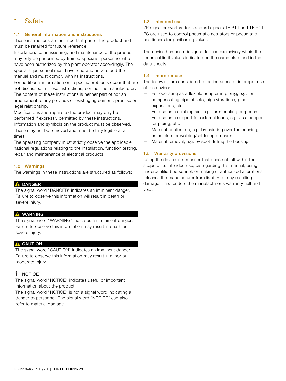# 1 Safety

# 1.1 General information and instructions

These instructions are an important part of the product and must be retained for future reference.

Installation, commissioning, and maintenance of the product may only be performed by trained specialist personnel who have been authorized by the plant operator accordingly. The specialist personnel must have read and understood the manual and must comply with its instructions.

For additional information or if specific problems occur that are not discussed in these instructions, contact the manufacturer. The content of these instructions is neither part of nor an amendment to any previous or existing agreement, promise or legal relationship.

Modifications and repairs to the product may only be performed if expressly permitted by these instructions. Information and symbols on the product must be observed. These may not be removed and must be fully legible at all times.

The operating company must strictly observe the applicable national regulations relating to the installation, function testing, repair and maintenance of electrical products.

# 1.2 Warnings

The warnings in these instructions are structured as follows:

### **A** DANGER

The signal word "DANGER" indicates an imminent danger. Failure to observe this information will result in death or severe injury.

# **A** WARNING

The signal word "WARNING" indicates an imminent danger. Failure to observe this information may result in death or severe injury.

# **A** CAUTION

The signal word "CAUTION" indicates an imminent danger. Failure to observe this information may result in minor or moderate injury.

# NOTICE

The signal word "NOTICE" indicates useful or important information about the product.

The signal word "NOTICE" is not a signal word indicating a danger to personnel. The signal word "NOTICE" can also refer to material damage.

# 1.3 Intended use

I/P signal converters for standard signals TEIP11 and TEIP11- PS are used to control pneumatic actuators or pneumatic positioners for positioning valves.

The device has been designed for use exclusively within the technical limit values indicated on the name plate and in the data sheets.

# 1.4 Improper use

The following are considered to be instances of improper use of the device:

- For operating as a flexible adapter in piping, e.g. for compensating pipe offsets, pipe vibrations, pipe expansions, etc.
- For use as a climbing aid, e.g. for mounting purposes
- For use as a support for external loads, e.g. as a support for piping, etc.
- Material application, e.g. by painting over the housing, name plate or welding/soldering on parts.
- Material removal, e.g. by spot drilling the housing.

# 1.5 Warranty provisions

Using the device in a manner that does not fall within the scope of its intended use, disregarding this manual, using underqualified personnel, or making unauthorized alterations releases the manufacturer from liability for any resulting damage. This renders the manufacturer's warranty null and void.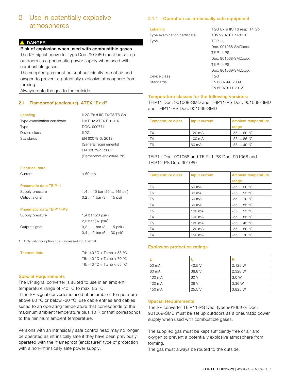# 2 Use in potentially explosive atmospheres

# **A** DANGER

### Risk of explosion when used with combustible gases

The I/P signal converter type Doc. 901069 must be set up outdoors as a pneumatic power supply when used with combustible gases.

The supplied gas must be kept sufficiently free of air and oxygen to prevent a potentially explosive atmosphere from forming.

Always route the gas to the outside.

# 2.1 Flameproof (enclosure), ATEX "Ex d"

Type examination certificate DMT 02 ATEX E 121 X Type DOC. 900771 Device class II 2G Standards EN 60079-0: 2012

Labeling II 2G Ex d IIC T4/T5/T6 Gb (General requirements) EN 60079-1: 2007 (Flameproof enclosure "d")

#### Electrical data

| Current | $\leq 50$ mA |
|---------|--------------|
|         |              |

#### Pneumatic data TEIP11

| Supply pressure | 1,4  10 bar (20  145 psi) |
|-----------------|---------------------------|
| Output signal   | $0, 2 1$ bar $(3 15$ psi) |

#### Pneumatic data TEIP11-PS

| Supply pressure | 1,4 bar (20 psi) /                   |
|-----------------|--------------------------------------|
|                 | 2,5 bar (37 psi) <sup>1</sup>        |
| Output signal   | $0.21$ bar $(315$ psi) /             |
|                 | $0.4$ 2 bar (6  30 psi) <sup>1</sup> |

1 Only valid for option 509 - increased input signal.

| Thermal data | T4: -40 °C < Tamb < 85 °C |
|--------------|---------------------------|
|              | T5: -40 °C < Tamb < 70 °C |
|              | T6: -40 °C < Tamb < 55 °C |

#### Special Requirements

The I/P signal converter is suited to use in an ambient temperature range of -40 °C to max. 85 °C.

If the I/P signal converter is used at an ambient temperature above 60 °C or below -20 °C, use cable entries and cables suited to an operating temperature that corresponds to the maximum ambient temperature plus 10 K or that corresponds to the minimum ambient temperature.

Versions with an intrinsically safe control head may no longer be operated as intrinsically safe if they have been previously operated with the "flameproof (enclosure)" type of protection with a non-intrinsically safe power supply.

# 2.1.1 Operation as intrinsically safe equipment

| Labeling                     | Il 2G Ex ia IIC T6 resp. T4 Gb |
|------------------------------|--------------------------------|
| Type examination certificate | <b>TÜV 99 ATEX 1487 X</b>      |
| Type                         | TEIP11.                        |
|                              | Doc. 901068-SMDxxxx            |
|                              | TEIP11-PS.                     |
|                              | Doc. 901068-SMDxxxx            |
|                              | TEIP11-PS.                     |
|                              | Doc. 901069-SMDxxxx            |
| Device class                 | II 2G                          |
| Standards                    | EN 60079-0:2009                |
|                              | FN 60079-11:2012               |

#### Temperature classes for the following versions:

TEIP11 Doc. 901068-SMD and TEIP11-PS Doc. 901068-SMD and TEIP11-PS Doc. 901069-SMD

| Temperature class | Input current | <b>Ambient temperature</b> |
|-------------------|---------------|----------------------------|
|                   |               | range                      |
| T4                | 120 mA        | $-5560 °C$                 |
| T4                | 100 mA        | $-5585 °C$                 |
| T6                | 60 mA         | $-5540 °C$                 |

TEIP11 Doc. 901068 and TEIP11-PS Doc. 901068 and TEIP11-PS Doc. 901069

| <b>Temperature class</b> | Input current | <b>Ambient temperature</b> |
|--------------------------|---------------|----------------------------|
|                          |               | range                      |
| T <sub>6</sub>           | 50 mA         | $-5560 °C$                 |
| T <sub>6</sub>           | 60 mA         | $-5555$ °C                 |
| T <sub>5</sub>           | 60 mA         | $-5570 °C$                 |
| T <sub>4</sub>           | 60 mA         | $-5585 °C$                 |
| T <sub>5</sub>           | 100 mA        | $-5555$ °C                 |
| T <sub>4</sub>           | 100 mA        | $-5585$ °C                 |
| T <sub>5</sub>           | 120 mA        | $-5545 °C$                 |
| T <sub>4</sub>           | 120 mA        | $-5580 °C$                 |
| T <sub>4</sub>           | 150 mA        | $-5570 °C$                 |

# Explosion protection ratings

|        | v      | P       |
|--------|--------|---------|
| 50 mA  | 42.5 V | 2.125 W |
| 60 mA  | 38.8 V | 2.328 W |
| 100 mA | 30 V   | 3.0 W   |
| 120 mA | 28 V   | 3.36 W  |
| 150 mA | 25.5V  | 3.825 W |

#### Special Requirements

The I/P converter TEIP11-PS Doc. type 901069 or Doc. 901069-SMD must be set up outdoors as a pneumatic power supply when used with combustible gases.

The supplied gas must be kept sufficiently free of air and oxygen to prevent a potentially explosive atmosphere from forming.

The gas must always be routed to the outside.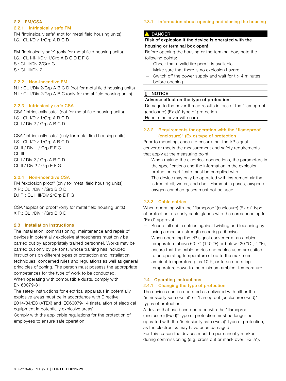# 2.2 FM/CSA

#### 2.2.1 Intrinsically safe FM

FM "intrinsically safe" (not for metal field housing units) I.S.: CL I/Div 1/Grp A B C D

FM "intrinsically safe" (only for metal field housing units) I.S.: CL I-II-II/Div 1/Grp A B C D E F G S.: CL II/Div 2/Grp G S.: CL III/Div 2

# 2.2.2 Non-incendive FM

N.I.: CL I/Div 2/Grp A B C D (not for metal field housing units) N.I.: CL I/Div 2/Grp A B C (only for metal field housing units)

# 2.2.3 Intrinsically safe CSA

CSA "intrinsically safe" (not for metal field housing units) I.S.: CL I/Div 1/Grp A B C D CL I / Div 2 / Grp A B C D

CSA "intrinsically safe" (only for metal field housing units) I.S.: CL I/Div 1/Grp A B C D CL II / Div 1 / Grp E F G CL III CL I / Div 2 / Grp A B C D CL II / Div 2 / Grp E F G

# 2.2.4 Non-incendive CSA

FM "explosion proof" (only for metal field housing units) X.P.: CL I/Div 1/Grp B C D D.I.P.: CL II III/Div 2/Grp E F G

CSA "explosion proof" (only for metal field housing units) X.P.: CL I/Div 1/Grp B C D

### 2.3 Installation instructions

The installation, commissioning, maintenance and repair of devices in potentially explosive atmospheres must only be carried out by appropriately trained personnel. Works may be carried out only by persons, whose training has included instructions on different types of protection and installation techniques, concerned rules and regulations as well as general principles of zoning. The person must possess the appropriate competences for the type of work to be conducted. When operating with combustible dusts, comply with

EN 60079-31. The safety instructions for electrical apparatus in potentially

explosive areas must be in accordance with Directive 2014/34/EC (ATEX) and IEC60079-14 (Installation of electrical equipment in potentially explosive areas).

Comply with the applicable regulations for the protection of employees to ensure safe operation.

### 2.3.1 Information about opening and closing the housing

#### **A** DANGER

# Risk of explosion if the device is operated with the housing or terminal box open!

Before opening the housing or the terminal box, note the following points:

- Check that a valid fire permit is available.
- Make sure that there is no explosion hazard.
- Switch off the power supply and wait for  $t > 4$  minutes before opening.

### 1 NOTICE

#### Adverse effect on the type of protection!

Damage to the cover thread results in loss of the "flameproof (enclosure) (Ex d)" type of protection.

Handle the cover with care.

# 2.3.2 Requirements for operation with the "flameproof (enclosure)" (Ex d) type of protection

Prior to mounting, check to ensure that the I/P signal converter meets the measurement and safety requirements that apply at the measuring point.

- When making the electrical connections, the parameters in the specifications and the information in the explosion protection certificate must be complied with.
- The device may only be operated with instrument air that is free of oil, water, and dust. Flammable gases, oxygen or oxygen-enriched gases must not be used.

#### 2.3.3 Cable entries

When operating with the "flameproof (enclosure) (Ex d)" type of protection, use only cable glands with the corresponding full "Ex d" approval.

- Secure all cable entries against twisting and loosening by using a medium-strength securing adhesive.
- When operating the I/P signal converter at an ambient temperature above 60 °C (140 °F) or below -20 °C (-4 °F), ensure that the cable entries and cables used are suited to an operating temperature of up to the maximum ambient temperature plus 10 K, or to an operating temperature down to the minimum ambient temperature.

# 2.4 Operating instructions

#### 2.4.1 Changing the type of protection

The devices can be operated as delivered with either the "intrinsically safe (Ex ia)" or "flameproof (enclosure) (Ex d)" types of protection.

A device that has been operated with the "flameproof (enclosure) (Ex d)" type of protection must no longer be operated with the "intrinsically safe (Ex ia)" type of protection, as the electronics may have been damaged.

For this reason the devices must be permanently marked during commissioning (e.g. cross out or mask over "Ex ia").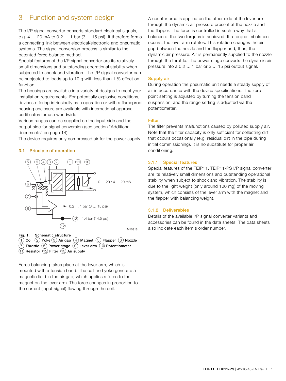# 3 Function and system design

The I/P signal converter converts standard electrical signals, e.g. 4 … 20 mA to 0.2 … 1 bar (3 ... 15 psi). It therefore forms a connecting link between electrical/electronic and pneumatic systems. The signal conversion process is similar to the patented force balance method.

Special features of the I/P signal converter are its relatively small dimensions and outstanding operational stability when subjected to shock and vibration. The I/P signal converter can be subjected to loads up to 10 g with less than 1 % effect on function.

The housings are available in a variety of designs to meet your installation requirements. For potentially explosive conditions, devices offering intrinsically safe operation or with a flameproof housing enclosure are available with international approval certificates for use worldwide.

Various ranges can be supplied on the input side and the output side for signal conversion (see section "Additional documents" on page 14).

The device requires only compressed air for the power supply.

#### 3.1 Principle of operation



Fig. 1: Schematic structure  $(1)$  Coil  $(2)$  Yoke  $(3)$  Air gap  $(4)$  Magnet  $(5)$  Flapper  $(6)$  Nozzle  $\overline{P}$  Throttle  $\overline{P}$  Power stage  $\overline{P}$  Lever arm  $\overline{P}$  Potentiometer  $\widehat{H(1)}$  Resistor  $\widehat{H(2)}$  Filter  $\widehat{H(3)}$  Air supply

Force balancing takes place at the lever arm, which is mounted with a tension band. The coil and yoke generate a magnetic field in the air gap, which applies a force to the magnet on the lever arm. The force changes in proportion to the current (input signal) flowing through the coil.

A counterforce is applied on the other side of the lever arm, through the dynamic air pressure present at the nozzle and the flapper. The force is controlled in such a way that a balance of the two torques is achieved. If a torque imbalance occurs, the lever arm rotates. This rotation changes the air gap between the nozzle and the flapper and, thus, the dynamic air pressure. Air is permanently supplied to the nozzle through the throttle. The power stage converts the dynamic air pressure into a 0.2 ... 1 bar or 3 ... 15 psi output signal.

#### Supply air

During operation the pneumatic unit needs a steady supply of air in accordance with the device specifications. The zero point setting is adjusted by turning the tension band suspension, and the range setting is adjusted via the potentiometer.

#### **Filter**

The filter prevents malfunctions caused by polluted supply air. Note that the filter capacity is only sufficient for collecting dirt that occurs occasionally (e.g. residual dirt in the pipe during initial commissioning). It is no substitute for proper air conditioning.

#### 3.1.1 Special features

Special features of the TEIP11, TEIP11-PS I/P signal converter are its relatively small dimensions and outstanding operational stability when subject to shock and vibration. The stability is due to the light weight (only around 100 mg) of the moving system, which consists of the lever arm with the magnet and the flapper with balancing weight.

#### 3.1.2 Deliverables

Details of the available I/P signal converter variants and accessories can be found in the data sheets. The data sheets M<sub>10918</sub> also indicate each item's order number.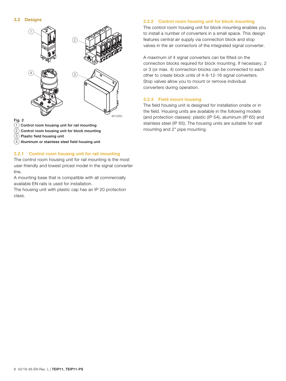

#### Fig. 2

- $(1)$  Control room housing unit for rail mounting
- $(2)$  Control room housing unit for block mounting
- $(3)$  Plastic field housing unit
- $(4)$  Aluminum or stainless steel field housing unit

#### 3.2.1 Control room housing unit for rail mounting

The control room housing unit for rail mounting is the most user-friendly and lowest priced model in the signal converter line.

A mounting base that is compatible with all commercially available EN rails is used for installation.

The housing unit with plastic cap has an IP 20 protection class.

#### 3.2.2 Control room housing unit for block mounting

The control room housing unit for block mounting enables you to install a number of converters in a small space. This design features central air supply via connection block and stop valves in the air connectors of the integrated signal converter.

A maximum of 4 signal converters can be fitted on the connection blocks required for block mounting. If necessary, 2 or 3 (or max. 4) connection blocks can be connected to each other to create block units of 4-8-12-16 signal converters. Stop valves allow you to mount or remove individual converters during operation.

#### 3.2.3 Field mount housing

The field housing unit is designed for installation onsite or in the field. Housing units are available in the following models (and protection classes): plastic (IP 54), aluminum (IP 65) and stainless steel (IP 65). The housing units are suitable for wall mounting and 2" pipe mounting.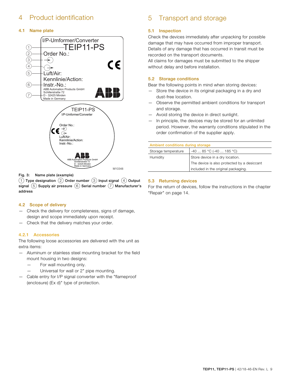# 4 Product identification

# 4.1 Name plate



Fig. 3: Name plate (example)

 $(1)$  Type designation  $(2)$  Order number  $(3)$  Input signal  $(4)$  Output signal  $(5)$  Supply air pressure  $(6)$  Serial number  $(7)$  Manufacturer's address

# 4.2 Scope of delivery

- Check the delivery for completeness, signs of damage, design and scope immediately upon receipt.
- Check that the delivery matches your order.

# 4.2.1 Accessories

The following loose accessories are delivered with the unit as extra items:

- Aluminum or stainless steel mounting bracket for the field mount housing in two designs:
	- For wall mounting only.
	- Universal for wall or 2" pipe mounting.
- Cable entry for I/P signal converter with the "flameproof (enclosure) (Ex d)" type of protection.

# 5 Transport and storage

# 5.1 Inspection

Check the devices immediately after unpacking for possible damage that may have occurred from improper transport. Details of any damage that has occurred in transit must be recorded on the transport documents.

All claims for damages must be submitted to the shipper without delay and before installation.

# 5.2 Storage conditions

Bear the following points in mind when storing devices:

- Store the device in its original packaging in a dry and dust-free location.
- Observe the permitted ambient conditions for transport and storage.
- Avoid storing the device in direct sunlight.
- In principle, the devices may be stored for an unlimited period. However, the warranty conditions stipulated in the order confirmation of the supplier apply.

| Ambient conditions during storage |                                             |  |
|-----------------------------------|---------------------------------------------|--|
| Storage temperature               | $-40$ 85 °C (-40  185 °C)                   |  |
| Humidity                          | Store device in a dry location.             |  |
|                                   | The device is also protected by a desiccant |  |
|                                   | included in the original packaging.         |  |

# 5.3 Returning devices

For the return of devices, follow the instructions in the chapter "Repair" on page 14.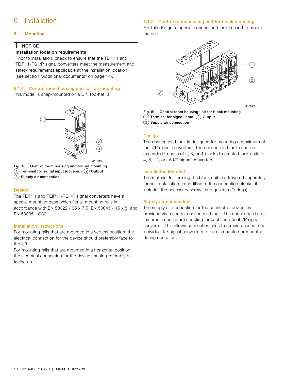# 6 Installation

# 6.1 Mounting

# **NOTICE**

#### Installation location requirements

Prior to installation, check to ensure that the TEIP11 and TEIP11-PS I/P signal converters meet the measurement and safety requirements applicable at the installation location (see section "Additional documents" on page 14).

# 6.1.1 Control room housing unit for rail mounting

This model is snap-mounted on a DIN top-hat rail.



Fig. 4: Control room housing unit for rail mounting

- $(1)$  Terminal for signal input (covered)  $(2)$  Output
- $(3)$  Supply air connection

#### Design

The TEIP11 and TEIP11-PS I/P signal converters have a special mounting base which fits all mounting rails in accordance with EN 50022 - 35 x 7.5, EN 50045 - 15 x 5, and EN 50035 - G32.

#### Installation instructions

For mounting rails that are mounted in a vertical position, the electrical connection for the device should preferably face to the left.

For mounting rails that are mounted in a horizontal position, the electrical connection for the device should preferably be facing up.

### 6.1.2 Control room housing unit for block mounting

For this design, a special connection block is used to mount the unit.



Fig. 5: Control room housing unit for block mounting  $(1)$  Terminal for signal input  $(2)$  Output

 $(3)$  Supply air connection

#### **Design**

The connection block is designed for mounting a maximum of four I/P signal converters. The connection blocks can be expanded to units of 2, 3, or 4 blocks to create block units of 4, 8, 12, or 16 I/P signal converters.

#### Installation Material

The material for forming the block units is delivered separately for self-installation; in addition to the connection blocks, it includes the necessary screws and gaskets (O-rings).

#### Supply air connection

The supply air connection for the connected devices is provided via a central connection block. The connection block features a non-return coupling for each individual I/P signal converter. This allows connection sites to remain unused, and individual I/P signal converters to be dismounted or mounted during operation.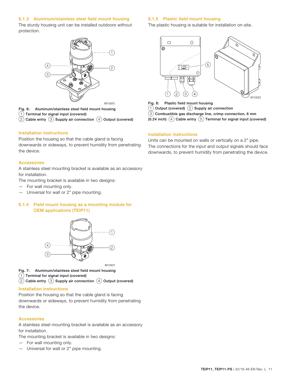# 6.1.3 Aluminum/stainless steel field mount housing

The sturdy housing unit can be installed outdoors without protection.



Fig. 6: Aluminum/stainless steel field mount housing  $(1)$  Terminal for signal input (covered)  $(2)$  Cable entry  $(3)$  Supply air connection  $(4)$  Output (covered)

#### Installation instructions

Position the housing so that the cable gland is facing downwards or sideways, to prevent humidity from penetrating the device.

#### Accessories

A stainless steel mounting bracket is available as an accessory for installation.

The mounting bracket is available in two designs:

- For wall mounting only.
- Universal for wall or 2" pipe mounting.

# 6.1.4 Field mount housing as a mounting module for OEM applications (TEIP11)



M10921

- Fig. 7: Aluminum/stainless steel field mount housing
- $(1)$  Terminal for signal input (covered)
- $(2)$  Cable entry  $(3)$  Supply air connection  $(4)$  Output (covered)

# Installation instructions

Position the housing so that the cable gland is facing downwards or sideways, to prevent humidity from penetrating the device.

# Accessories

A stainless steel mounting bracket is available as an accessory for installation.

The mounting bracket is available in two designs:

- For wall mounting only.
- Universal for wall or 2" pipe mounting.

# 6.1.5 Plastic field mount housing

The plastic housing is suitable for installation on-site.



Fig. 8: Plastic field mount housing

 $(1)$  Output (covered)  $(2)$  Supply air connection

- $\left( \overline{3}\right)$  Combustible gas discharge line, crimp connection, 6 mm
- (0.24 inch)  $\overline{4}$  Cable entry  $\overline{5}$  Terminal for signal input (covered)

# Installation instructions

Units can be mounted on walls or vertically on a 2" pipe. The connections for the input and output signals should face downwards, to prevent humidity from penetrating the device.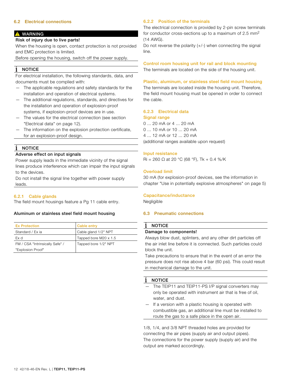### 6.2 Electrical connections

#### **A** WARNING

### Risk of injury due to live parts!

When the housing is open, contact protection is not provided and EMC protection is limited.

Before opening the housing, switch off the power supply.

# NOTICE

For electrical installation, the following standards, data, and documents must be complied with:

- The applicable regulations and safety standards for the installation and operation of electrical systems.
- The additional regulations, standards, and directives for the installation and operation of explosion-proof systems, if explosion-proof devices are in use.
- The values for the electrical connection (see section "Electrical data" on page 12).
- The information on the explosion protection certificate, for an explosion-proof design.

# **NOTICE**

#### Adverse effect on input signals

Power supply leads in the immediate vicinity of the signal lines produce interference which can impair the input signals to the devices.

Do not install the signal line together with power supply leads.

#### 6.2.1 Cable glands

The field mount housings feature a Pg 11 cable entry.

#### Aluminum or stainless steel field mount housing

| <b>Ex Protection</b>            | Cable entry           |
|---------------------------------|-----------------------|
| Standard / Ex ja                | Cable gland 1/2" NPT  |
| Ex d                            | Tapped bore M20 x 1.5 |
| FM / CSA "Intrinsically Safe" / | Tapped bore 1/2" NPT  |
| "Explosion Proof"               |                       |

### 6.2.2 Position of the terminals

The electrical connection is provided by 2-pin screw terminals for conductor cross-sections up to a maximum of 2.5  $mm<sup>2</sup>$ (14 AWG).

Do not reverse the polarity  $(+/-)$  when connecting the signal line.

Control room housing unit for rail and block mounting The terminals are located on the side of the housing unit.

#### Plastic, aluminum, or stainless steel field mount housing

The terminals are located inside the housing unit. Therefore, the field mount housing must be opened in order to connect the cable.

# 6.2.3 Electrical data

Signal range 0 ... 20 mA or 4 ... 20 mA 0 ... 10 mA or 10 ... 20 mA 4 ... 12 mA or 12 ... 20 mA (additional ranges available upon request)

#### Input resistance

Ri = 260 Ω at 20 °C (68 °F), Tk + 0.4 %/K

#### Overload limit

30 mA (for explosion-proof devices, see the information in chapter "Use in potentially explosive atmospheres" on page 5)

#### Capacitance/inductance

Negligible

#### 6.3 Pneumatic connections

#### NOTICE

### Damage to components!

Always blow dust, splinters, and any other dirt particles off the air inlet line before it is connected. Such particles could block the unit.

Take precautions to ensure that in the event of an error the pressure does not rise above 4 bar (60 psi). This could result in mechanical damage to the unit.

#### NOTICE

- The TEIP11 and TEIP11-PS I/P signal converters may only be operated with instrument air that is free of oil, water, and dust.
- If a version with a plastic housing is operated with combustible gas, an additional line must be installed to route the gas to a safe place in the open air.

1/8, 1/4, and 3/8 NPT threaded holes are provided for connecting the air pipes (supply air and output pipes). The connections for the power supply (supply air) and the output are marked accordingly.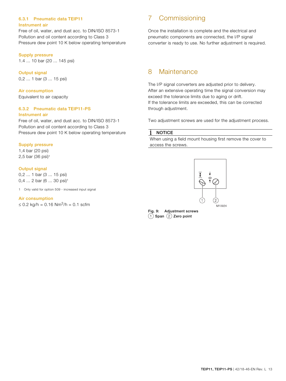# 6.3.1 Pneumatic data TEIP11 Instrument air

Free of oil, water, and dust acc. to DIN/ISO 8573-1 Pollution and oil content according to Class 3 Pressure dew point 10 K below operating temperature

### Supply pressure

1.4 ... 10 bar (20 ... 145 psi)

#### Output signal 0,2 ... 1 bar (3 ... 15 psi)

Air consumption Equivalent to air capacity

# 6.3.2 Pneumatic data TEIP11-PS Instrument air

Free of oil, water, and dust acc. to DIN/ISO 8573-1 Pollution and oil content according to Class 3 Pressure dew point 10 K below operating temperature

# Supply pressure

1,4 bar (20 psi) 2,5 bar (36 psi)1

# Output signal

0,2 ... 1 bar (3 ... 15 psi) 0,4 ... 2 bar (6 ... 30 psi)<sup>1</sup>

1 Only valid for option 509 - increased input signal

#### Air consumption

≤ 0.2 kg/h = 0.16 Nm<sup>3</sup>/h = 0.1 scfm

# 7 Commissioning

Once the installation is complete and the electrical and pneumatic components are connected, the I/P signal converter is ready to use. No further adjustment is required.

# 8 Maintenance

The I/P signal converters are adjusted prior to delivery. After an extensive operating time the signal conversion may exceed the tolerance limits due to aging or drift. If the tolerance limits are exceeded, this can be corrected through adjustment.

Two adjustment screws are used for the adjustment process.

#### **NOTICE** j

When using a field mount housing first remove the cover to access the screws.



Fig. 9: Adjustment screws  $(1)$  Span  $(2)$  Zero point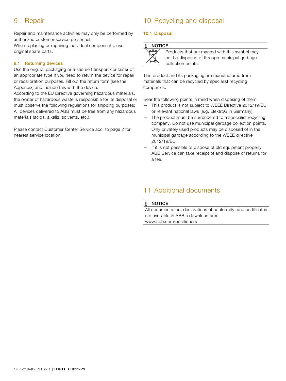# 9 Repair

Repair and maintenance activities may only be performed by authorized customer service personnel.

When replacing or repairing individual components, use original spare parts.

# 9.1 Returning devices

Use the original packaging or a secure transport container of an appropriate type if you need to return the device for repair or recalibration purposes. Fill out the return form (see the Appendix) and include this with the device.

According to the EU Directive governing hazardous materials, the owner of hazardous waste is responsible for its disposal or must observe the following regulations for shipping purposes: All devices delivered to ABB must be free from any hazardous materials (acids, alkalis, solvents, etc.).

Please contact Customer Center Service acc. to page 2 for nearest service location.

# 10 Recycling and disposal

# 10.1 Disposal

#### **NOTICE**

 $\bar{\mathsf{X}}$ 

| ≹ | Products that are m                 |
|---|-------------------------------------|
| ∖ | not be disposed of t                |
|   | المناسبة والمسترد والمناسب والمسترد |

arked with this symbol may through municipal garbage collection points.

This product and its packaging are manufactured from materials that can be recycled by specialist recycling companies.

Bear the following points in mind when disposing of them:

- This product is not subject to WEEE Directive 2012/19/EU or relevant national laws (e.g. ElektroG in Germany).
- The product must be surrendered to a specialist recycling company. Do not use municipal garbage collection points. Only privately used products may be disposed of in the municipal garbage according to the WEEE directive 2012/19/EU
- If it is not possible to dispose of old equipment properly, ABB Service can take receipt of and dispose of returns for a fee.

# 11 Additional documents

#### Ť **NOTICE**

All documentation, declarations of conformity, and certificates are available in ABB's download area. www.abb.com/positioners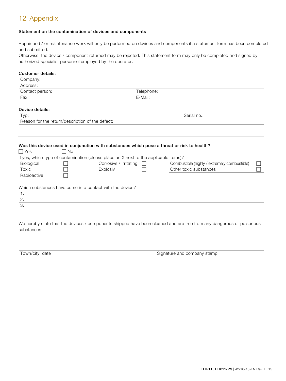# 12 Appendix

# Statement on the contamination of devices and components

Repair and / or maintenance work will only be performed on devices and components if a statement form has been completed and submitted.

Otherwise, the device / component returned may be rejected. This statement form may only be completed and signed by authorized specialist personnel employed by the operator.

### Customer details:

| Company:        |             |  |
|-----------------|-------------|--|
| Address:        |             |  |
| Contact person: | Telephone:  |  |
| Fax:            | E-Mail:     |  |
|                 |             |  |
| Device details: |             |  |
| Typ:            | Serial no.: |  |

# Reason for the return/description of the defect:

#### Was this device used in conjunction with substances which pose a threat or risk to health?

| $\Box$ Yes                                                                            | ∩N ⊓ |                        |  |                                              |  |  |  |
|---------------------------------------------------------------------------------------|------|------------------------|--|----------------------------------------------|--|--|--|
| If yes, which type of contamination (please place an X next to the applicable items)? |      |                        |  |                                              |  |  |  |
| Biological                                                                            |      | Corrosive / irritating |  | Combustible (highly / extremely combustible) |  |  |  |
| Toxic                                                                                 |      | Explosiv               |  | Other toxic substances                       |  |  |  |
| Radioactive                                                                           |      |                        |  |                                              |  |  |  |
|                                                                                       |      |                        |  |                                              |  |  |  |

| Which substances have come into contact with the device? |  |  |
|----------------------------------------------------------|--|--|
|----------------------------------------------------------|--|--|

| $\cdot$ |  |  |
|---------|--|--|

We hereby state that the devices / components shipped have been cleaned and are free from any dangerous or poisonous substances.

Town/city, date **Signature and company stamp** Signature and company stamp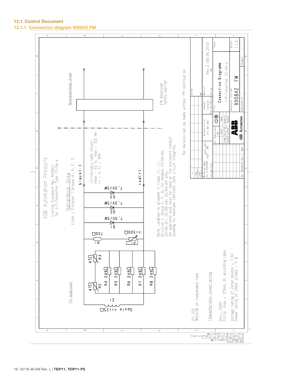$\frac{1}{4}$ iheet  $3$ cale Rev.3 (06.06.2013) Category I/P-Converter 22/06-a Connection Diagramm No revision can be made without FM notification Nonhazardous Area  $\sum_{i=1}^{n}$ FM Approved<br>Safety barrier 900842 Part-No awing No. [Par  $31N$   $150$   $2768-m-K$ General<br>Tolerances  $\frac{1}{\sum_{i=1}^{n} \sum_{i=1}^{n} \sum_{j=1}^{n} \sum_{j=1}^{n} \sum_{j=1}^{n} \sum_{j=1}^{n} \sum_{j=1}^{n} \sum_{j=1}^{n} \sum_{j=1}^{n} \sum_{j=1}^{n} \sum_{j=1}^{n} \sum_{j=1}^{n} \sum_{j=1}^{n} \sum_{j=1}^{n} \sum_{j=1}^{n} \sum_{j=1}^{n} \sum_{j=1}^{n} \sum_{j=1}^{n} \sum_{j=1}^{n} \sum_{j=1}^{n} \sum_{j=1}^{n} \sum_{j=$ Date Name<br>07.07.93 Lasarzik ABB Automation Surface Finish<br>DIN ISO 1302 ii<br>Albi  $\mathop{\cong}_\sqsubseteq$ Note: Location is allowed in Class II, III,<br>Division 1, Group E, F, G, for models 22/06-66,<br>22/06-67, 22/06-68, 22/06-69 only.<br>An approved seal must be used at the enclosure conduit<br>opening to maintain Infrinsic Safe circu rawn Intrinsically safe circuit<br>Vmax = 40 V, Imax = 125<br>Ci = 0, Li = 1mH  $\frac{1}{2}\sum_{i=1}^{n} \frac{1}{2} \sum_{i=1}^{n} \frac{1}{2} \sum_{i=1}^{n} \frac{1}{2} \sum_{i=1}^{n} \frac{1}{2} \sum_{i=1}^{n} \frac{1}{2} \sum_{i=1}^{n} \frac{1}{2} \sum_{i=1}^{n} \frac{1}{2} \sum_{i=1}^{n} \frac{1}{2} \sum_{i=1}^{n} \frac{1}{2} \sum_{i=1}^{n} \frac{1}{2} \sum_{i=1}^{n} \frac{1}{2} \sum_{i=1}^{n} \frac{1}{2} \sum_{i=1}^{n}$ Name  $0a$ t e ABB Automation Products  $\Box$ Control Document No. 900842<br>for I/P-Converter Type 22/06-a Workpiece edges<br>acc.to DIN 6784 Class | Division 1 Groups A, B, C, Amendment  $b \mid a c k (-)$ specified Duer<br>Towance  $red(+)$ Hazardous Area  $_{\mathrm{Rex.}}$  $\frac{1}{2}$ MS/AS'L 청 MS/AS'L 女<br>P2  $\frac{10}{10}$  $U00S = 5$ **ひ0SL**  $\mathbb{Z}_d$  $\frac{1}{1}$ С 0(4)...20mA<br>Entity: Imax = 125mA, Ri according label  $\vec{c}$   $\vec{d}$   $\vec{s}$ Voltage rating of Zener diodes = 7.5V<br>Power rating of Zener diodes = 5 W 249Q  $249\Omega$  $249\Omega$  $249\Omega$ R5 2490 Characteristic: direct acting or comparable type  $\approx$ R6 R<sub>7</sub> R8  $\frac{1}{2}$   $\frac{1}{2}$ **EM Approved**  $|Z$ D1...D3<br>N5343B  $QZ1 = 5$  slugg

ke ste is to be most be injuiting.<br>This also describe this paper is to be a given be diseased in the step of the step of the step of the step of<br>Higher ble diseased and the final step of the step of the step of the<br>High Le

12.1 Control Document 12.1.1 Connection diagram 900842 FM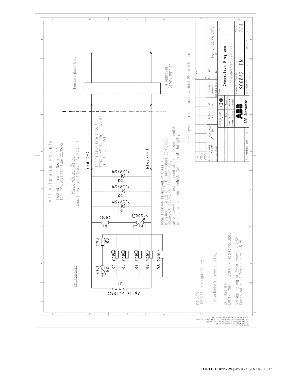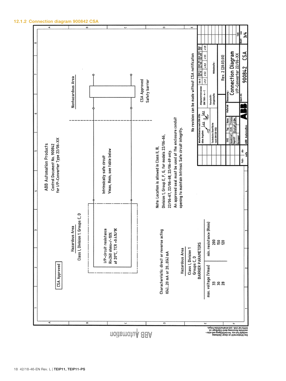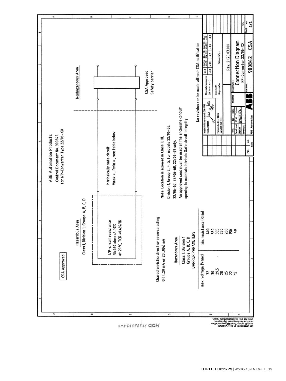